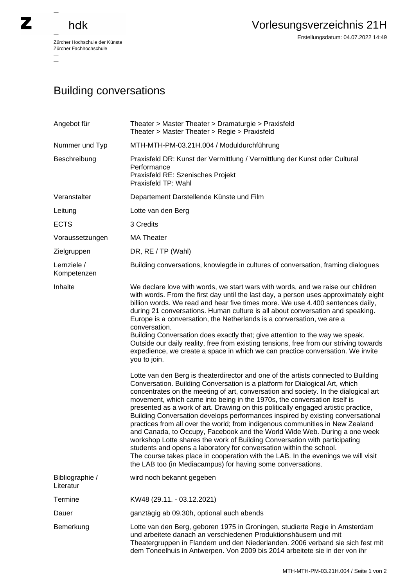## hdk

—

 $\equiv$ 

Zürcher Hochschule der Künste Zürcher Fachhochschule —

Erstellungsdatum: 04.07.2022 14:49

## Building conversations

| Angebot für                  | Theater > Master Theater > Dramaturgie > Praxisfeld<br>Theater > Master Theater > Regie > Praxisfeld                                                                                                                                                                                                                                                                                                                                                                                                                                                                                                                                                                                                                                                                                                                                                                                   |
|------------------------------|----------------------------------------------------------------------------------------------------------------------------------------------------------------------------------------------------------------------------------------------------------------------------------------------------------------------------------------------------------------------------------------------------------------------------------------------------------------------------------------------------------------------------------------------------------------------------------------------------------------------------------------------------------------------------------------------------------------------------------------------------------------------------------------------------------------------------------------------------------------------------------------|
| Nummer und Typ               | MTH-MTH-PM-03.21H.004 / Moduldurchführung                                                                                                                                                                                                                                                                                                                                                                                                                                                                                                                                                                                                                                                                                                                                                                                                                                              |
| Beschreibung                 | Praxisfeld DR: Kunst der Vermittlung / Vermittlung der Kunst oder Cultural<br>Performance<br>Praxisfeld RE: Szenisches Projekt<br>Praxisfeld TP: Wahl                                                                                                                                                                                                                                                                                                                                                                                                                                                                                                                                                                                                                                                                                                                                  |
| Veranstalter                 | Departement Darstellende Künste und Film                                                                                                                                                                                                                                                                                                                                                                                                                                                                                                                                                                                                                                                                                                                                                                                                                                               |
| Leitung                      | Lotte van den Berg                                                                                                                                                                                                                                                                                                                                                                                                                                                                                                                                                                                                                                                                                                                                                                                                                                                                     |
| <b>ECTS</b>                  | 3 Credits                                                                                                                                                                                                                                                                                                                                                                                                                                                                                                                                                                                                                                                                                                                                                                                                                                                                              |
| Voraussetzungen              | <b>MA Theater</b>                                                                                                                                                                                                                                                                                                                                                                                                                                                                                                                                                                                                                                                                                                                                                                                                                                                                      |
| Zielgruppen                  | DR, RE / TP (Wahl)                                                                                                                                                                                                                                                                                                                                                                                                                                                                                                                                                                                                                                                                                                                                                                                                                                                                     |
| Lernziele /<br>Kompetenzen   | Building conversations, knowlegde in cultures of conversation, framing dialogues                                                                                                                                                                                                                                                                                                                                                                                                                                                                                                                                                                                                                                                                                                                                                                                                       |
| Inhalte                      | We declare love with words, we start wars with words, and we raise our children<br>with words. From the first day until the last day, a person uses approximately eight<br>billion words. We read and hear five times more. We use 4.400 sentences daily,<br>during 21 conversations. Human culture is all about conversation and speaking.<br>Europe is a conversation, the Netherlands is a conversation, we are a<br>conversation.<br>Building Conversation does exactly that; give attention to the way we speak.<br>Outside our daily reality, free from existing tensions, free from our striving towards<br>expedience, we create a space in which we can practice conversation. We invite<br>you to join.<br>Lotte van den Berg is theaterdirector and one of the artists connected to Building<br>Conversation. Building Conversation is a platform for Dialogical Art, which |
|                              | concentrates on the meeting of art, conversation and society. In the dialogical art<br>movement, which came into being in the 1970s, the conversation itself is<br>presented as a work of art. Drawing on this politically engaged artistic practice,<br>Building Conversation develops performances inspired by existing conversational<br>practices from all over the world; from indigenous communities in New Zealand<br>and Canada, to Occupy, Facebook and the World Wide Web. During a one week<br>workshop Lotte shares the work of Building Conversation with participating<br>students and opens a laboratory for conversation within the school.<br>The course takes place in cooperation with the LAB. In the evenings we will visit<br>the LAB too (in Mediacampus) for having some conversations.                                                                        |
| Bibliographie /<br>Literatur | wird noch bekannt gegeben                                                                                                                                                                                                                                                                                                                                                                                                                                                                                                                                                                                                                                                                                                                                                                                                                                                              |
| Termine                      | KW48 (29.11. - 03.12.2021)                                                                                                                                                                                                                                                                                                                                                                                                                                                                                                                                                                                                                                                                                                                                                                                                                                                             |
| Dauer                        | ganztägig ab 09.30h, optional auch abends                                                                                                                                                                                                                                                                                                                                                                                                                                                                                                                                                                                                                                                                                                                                                                                                                                              |
| Bemerkung                    | Lotte van den Berg, geboren 1975 in Groningen, studierte Regie in Amsterdam<br>und arbeitete danach an verschiedenen Produktionshäusern und mit<br>Theatergruppen in Flandern und den Niederlanden. 2006 verband sie sich fest mit<br>dem Toneelhuis in Antwerpen. Von 2009 bis 2014 arbeitete sie in der von ihr                                                                                                                                                                                                                                                                                                                                                                                                                                                                                                                                                                      |